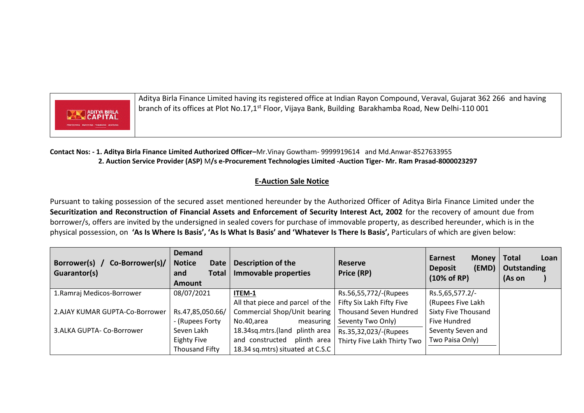

Aditya Birla Finance Limited having its registered office at Indian Rayon Compound, Veraval, Gujarat 362 266 and having branch of its offices at Plot No.17,1<sup>st</sup> Floor, Vijaya Bank, Building Barakhamba Road, New Delhi-110 001

**Contact Nos: - 1. Aditya Birla Finance Limited Authorized Officer–**Mr.Vinay Gowtham- 9999919614 and Md.Anwar-8527633955  **2. Auction Service Provider (ASP)** M**/s e-Procurement Technologies Limited -Auction Tiger- Mr. Ram Prasad-8000023297**

## **E-Auction Sale Notice**

Pursuant to taking possession of the secured asset mentioned hereunder by the Authorized Officer of Aditya Birla Finance Limited under the **Securitization and Reconstruction of Financial Assets and Enforcement of Security Interest Act, 2002** for the recovery of amount due from borrower/s, offers are invited by the undersigned in sealed covers for purchase of immovable property, as described hereunder, which is in the physical possession, on **'As Is Where Is Basis', 'As Is What Is Basis' and 'Whatever Is There Is Basis',** Particulars of which are given below:

| Borrower(s) /<br>Co-Borrower(s)/<br>Guarantor(s) | <b>Demand</b><br><b>Notice</b><br><b>Date</b><br><b>Total</b><br>and<br><b>Amount</b> | Description of the<br>Immovable properties                         | <b>Reserve</b><br>Price (RP)              | <b>Earnest</b><br>Money<br>(EMD)<br><b>Deposit</b><br>$(10\% \text{ of RP})$ | <b>Total</b><br>Loan<br><b>Outstanding</b><br>(As on |
|--------------------------------------------------|---------------------------------------------------------------------------------------|--------------------------------------------------------------------|-------------------------------------------|------------------------------------------------------------------------------|------------------------------------------------------|
| 1. Ramraj Medicos-Borrower                       | 08/07/2021                                                                            | ITEM-1                                                             | Rs.56,55,772/-(Rupees                     | Rs.5,65,577.2/-                                                              |                                                      |
|                                                  |                                                                                       | All that piece and parcel of the $\vert$ Fifty Six Lakh Fifty Five |                                           | (Rupees Five Lakh                                                            |                                                      |
| 2.AJAY KUMAR GUPTA-Co-Borrower                   | Rs.47,85,050.66/                                                                      | Commercial Shop/Unit bearing   Thousand Seven Hundred              |                                           | <b>Sixty Five Thousand</b>                                                   |                                                      |
|                                                  | - (Rupees Forty                                                                       | No.40,area<br>measuring                                            | Seventy Two Only)                         | Five Hundred                                                                 |                                                      |
| 3.ALKA GUPTA- Co-Borrower                        | Seven Lakh                                                                            | 18.34sq.mtrs.(land plinth area                                     | Rs.35,32,023/-(Rupees                     | Seventy Seven and                                                            |                                                      |
|                                                  | Eighty Five                                                                           | and constructed                                                    | plinth area   Thirty Five Lakh Thirty Two | Two Paisa Only)                                                              |                                                      |
|                                                  | Thousand Fifty                                                                        | 18.34 sq.mtrs) situated at C.S.C                                   |                                           |                                                                              |                                                      |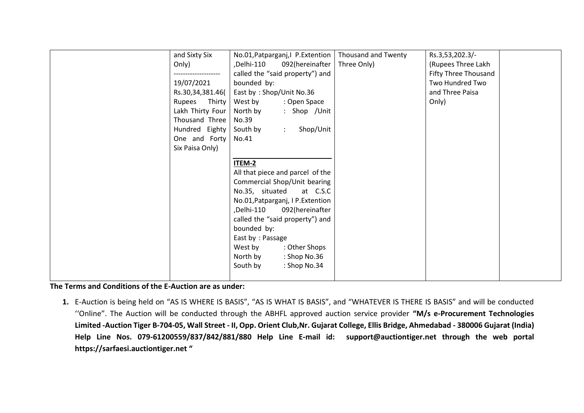| and Sixty Six<br>Only)<br>19/07/2021<br>Rs.30,34,381.46(<br>Rupees Thirty                | No.01, Patparganj, I P. Extention   Thousand and Twenty<br>,Delhi-110<br>092(hereinafter<br>called the "said property") and<br>bounded by:<br>East by: Shop/Unit No.36<br>West by<br>: Open Space | Three Only) | Rs.3,53,202.3/-<br>(Rupees Three Lakh<br>Fifty Three Thousand<br>Two Hundred Two<br>and Three Paisa<br>Only) |
|------------------------------------------------------------------------------------------|---------------------------------------------------------------------------------------------------------------------------------------------------------------------------------------------------|-------------|--------------------------------------------------------------------------------------------------------------|
| Lakh Thirty Four<br>Thousand Three<br>Hundred Eighty<br>One and Forty<br>Six Paisa Only) | : Shop /Unit<br>North by<br>No.39<br>Shop/Unit<br>South by<br>$\mathcal{L}$<br>No.41                                                                                                              |             |                                                                                                              |
|                                                                                          | ITEM-2<br>All that piece and parcel of the<br>Commercial Shop/Unit bearing<br>No.35, situated<br>at C.S.C<br>No.01, Patparganj, I P. Extention<br>Delhi-110,<br>092(hereinafter                   |             |                                                                                                              |
|                                                                                          | called the "said property") and<br>bounded by:<br>East by: Passage<br>West by<br>: Other Shops<br>North by<br>: Shop No.36<br>South by<br>: Shop No.34                                            |             |                                                                                                              |

**The Terms and Conditions of the E-Auction are as under:** 

**1.** E-Auction is being held on "AS IS WHERE IS BASIS", "AS IS WHAT IS BASIS", and "WHATEVER IS THERE IS BASIS" and will be conducted ''Online". The Auction will be conducted through the ABHFL approved auction service provider **"M/s e-Procurement Technologies Limited -Auction Tiger B-704-05, Wall Street - II, Opp. Orient Club,Nr. Gujarat College, Ellis Bridge, Ahmedabad - 380006 Gujarat (India) Help Line Nos. 079-61200559/837/842/881/880 Help Line E-mail id: [support@auctiontiger.net](mailto:support@auctiontiger.net) through the web portal [https://sarfaesi.auctiontiger.net](https://sarfaesi.auctiontiger.net/) "**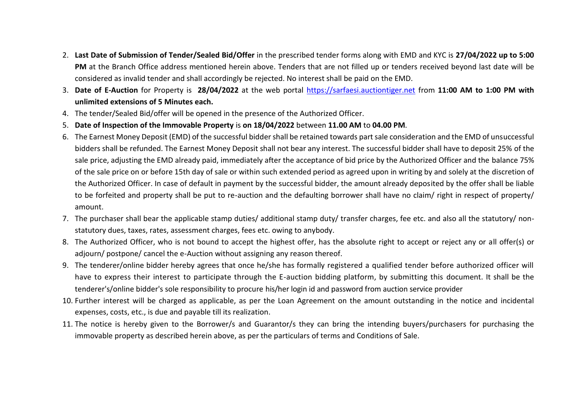- 2. **Last Date of Submission of Tender/Sealed Bid/Offer** in the prescribed tender forms along with EMD and KYC is **27/04/2022 up to 5:00 PM** at the Branch Office address mentioned herein above. Tenders that are not filled up or tenders received beyond last date will be considered as invalid tender and shall accordingly be rejected. No interest shall be paid on the EMD.
- 3. **Date of E-Auction** for Property is **28/04/2022** at the web portal [https://sarfaesi.auctiontiger.net](https://sarfaesi.auctiontiger.net/) from **11:00 AM to 1:00 PM with unlimited extensions of 5 Minutes each.**
- 4. The tender/Sealed Bid/offer will be opened in the presence of the Authorized Officer.
- 5. **Date of Inspection of the Immovable Property** is **on 18/04/2022** between **11.00 AM** to **04.00 PM**.
- 6. The Earnest Money Deposit (EMD) of the successful bidder shall be retained towards part sale consideration and the EMD of unsuccessful bidders shall be refunded. The Earnest Money Deposit shall not bear any interest. The successful bidder shall have to deposit 25% of the sale price, adjusting the EMD already paid, immediately after the acceptance of bid price by the Authorized Officer and the balance 75% of the sale price on or before 15th day of sale or within such extended period as agreed upon in writing by and solely at the discretion of the Authorized Officer. In case of default in payment by the successful bidder, the amount already deposited by the offer shall be liable to be forfeited and property shall be put to re-auction and the defaulting borrower shall have no claim/ right in respect of property/ amount.
- 7. The purchaser shall bear the applicable stamp duties/ additional stamp duty/ transfer charges, fee etc. and also all the statutory/ nonstatutory dues, taxes, rates, assessment charges, fees etc. owing to anybody.
- 8. The Authorized Officer, who is not bound to accept the highest offer, has the absolute right to accept or reject any or all offer(s) or adjourn/ postpone/ cancel the e-Auction without assigning any reason thereof.
- 9. The tenderer/online bidder hereby agrees that once he/she has formally registered a qualified tender before authorized officer will have to express their interest to participate through the E-auction bidding platform, by submitting this document. It shall be the tenderer's/online bidder's sole responsibility to procure his/her login id and password from auction service provider
- 10. Further interest will be charged as applicable, as per the Loan Agreement on the amount outstanding in the notice and incidental expenses, costs, etc., is due and payable till its realization.
- 11. The notice is hereby given to the Borrower/s and Guarantor/s they can bring the intending buyers/purchasers for purchasing the immovable property as described herein above, as per the particulars of terms and Conditions of Sale.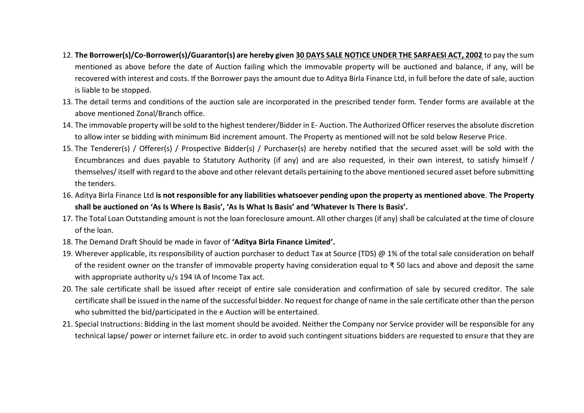- 12. **The Borrower(s)/Co-Borrower(s)/Guarantor(s) are hereby given 30 DAYS SALE NOTICE UNDER THE SARFAESI ACT, 2002** to pay the sum mentioned as above before the date of Auction failing which the immovable property will be auctioned and balance, if any, will be recovered with interest and costs. If the Borrower pays the amount due to Aditya Birla Finance Ltd, in full before the date of sale, auction is liable to be stopped.
- 13. The detail terms and conditions of the auction sale are incorporated in the prescribed tender form. Tender forms are available at the above mentioned Zonal/Branch office.
- 14. The immovable property will be sold to the highest tenderer/Bidder in E- Auction. The Authorized Officer reserves the absolute discretion to allow inter se bidding with minimum Bid increment amount. The Property as mentioned will not be sold below Reserve Price.
- 15. The Tenderer(s) / Offerer(s) / Prospective Bidder(s) / Purchaser(s) are hereby notified that the secured asset will be sold with the Encumbrances and dues payable to Statutory Authority (if any) and are also requested, in their own interest, to satisfy himself / themselves/ itself with regard to the above and other relevant details pertaining to the above mentioned secured asset before submitting the tenders.
- 16. Aditya Birla Finance Ltd **is not responsible for any liabilities whatsoever pending upon the property as mentioned above**. **The Property shall be auctioned on 'As Is Where Is Basis', 'As Is What Is Basis' and 'Whatever Is There Is Basis'.**
- 17. The Total Loan Outstanding amount is not the loan foreclosure amount. All other charges (if any) shall be calculated at the time of closure of the loan.
- 18. The Demand Draft Should be made in favor of **'Aditya Birla Finance Limited'.**
- 19. Wherever applicable, its responsibility of auction purchaser to deduct Tax at Source (TDS)  $\omega$  1% of the total sale consideration on behalf of the resident owner on the transfer of immovable property having consideration equal to ₹ 50 lacs and above and deposit the same with appropriate authority u/s 194 IA of Income Tax act.
- 20. The sale certificate shall be issued after receipt of entire sale consideration and confirmation of sale by secured creditor. The sale certificate shall be issued in the name of the successful bidder. No request for change of name in the sale certificate other than the person who submitted the bid/participated in the e Auction will be entertained.
- 21. Special Instructions: Bidding in the last moment should be avoided. Neither the Company nor Service provider will be responsible for any technical lapse/ power or internet failure etc. in order to avoid such contingent situations bidders are requested to ensure that they are